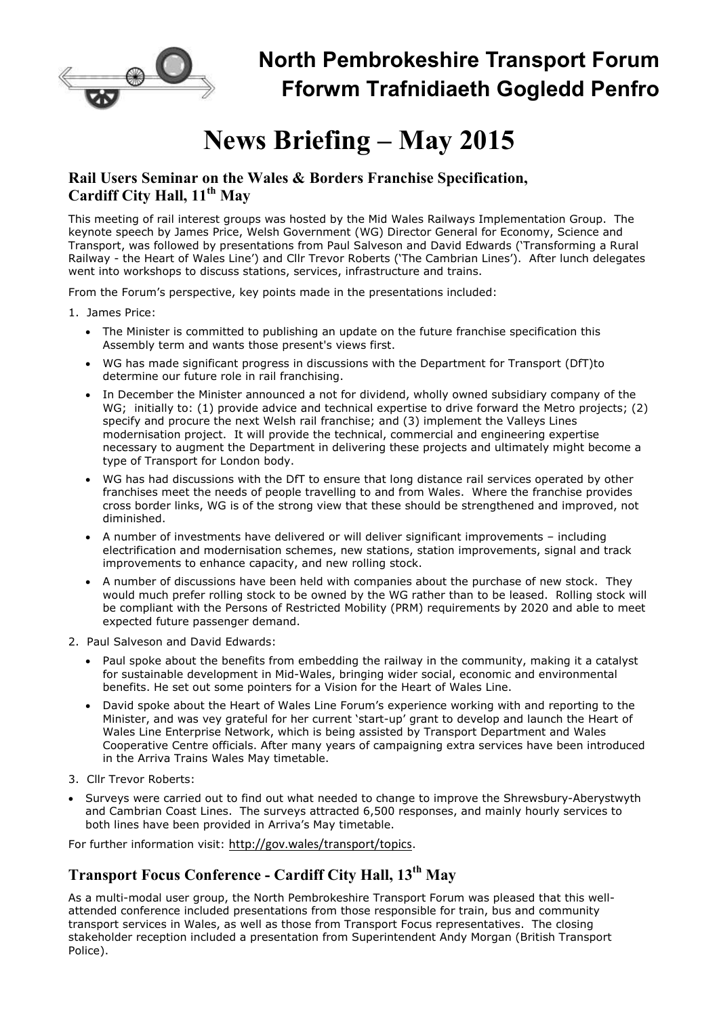

## **North Pembrokeshire Transport Forum Fforwm Trafnidiaeth Gogledd Penfro**

# **News Briefing – May 2015**

#### **Rail Users Seminar on the Wales & Borders Franchise Specification, Cardiff City Hall, 11th May**

This meeting of rail interest groups was hosted by the Mid Wales Railways Implementation Group. The keynote speech by James Price, Welsh Government (WG) Director General for Economy, Science and Transport, was followed by presentations from Paul Salveson and David Edwards ('Transforming a Rural Railway - the Heart of Wales Line') and Cllr Trevor Roberts ('The Cambrian Lines'). After lunch delegates went into workshops to discuss stations, services, infrastructure and trains.

From the Forum's perspective, key points made in the presentations included:

1. James Price:

- The Minister is committed to publishing an update on the future franchise specification this Assembly term and wants those present's views first.
- WG has made significant progress in discussions with the Department for Transport (DfT)to determine our future role in rail franchising.
- In December the Minister announced a not for dividend, wholly owned subsidiary company of the WG; initially to: (1) provide advice and technical expertise to drive forward the Metro projects; (2) specify and procure the next Welsh rail franchise; and (3) implement the Valleys Lines modernisation project. It will provide the technical, commercial and engineering expertise necessary to augment the Department in delivering these projects and ultimately might become a type of Transport for London body.
- WG has had discussions with the DfT to ensure that long distance rail services operated by other franchises meet the needs of people travelling to and from Wales. Where the franchise provides cross border links, WG is of the strong view that these should be strengthened and improved, not diminished.
- A number of investments have delivered or will deliver significant improvements including electrification and modernisation schemes, new stations, station improvements, signal and track improvements to enhance capacity, and new rolling stock.
- A number of discussions have been held with companies about the purchase of new stock. They would much prefer rolling stock to be owned by the WG rather than to be leased. Rolling stock will be compliant with the Persons of Restricted Mobility (PRM) requirements by 2020 and able to meet expected future passenger demand.
- 2. Paul Salveson and David Edwards:
	- Paul spoke about the benefits from embedding the railway in the community, making it a catalyst for sustainable development in Mid-Wales, bringing wider social, economic and environmental benefits. He set out some pointers for a Vision for the Heart of Wales Line.
	- David spoke about the Heart of Wales Line Forum's experience working with and reporting to the Minister, and was vey grateful for her current 'start-up' grant to develop and launch the Heart of Wales Line Enterprise Network, which is being assisted by Transport Department and Wales Cooperative Centre officials. After many years of campaigning extra services have been introduced in the Arriva Trains Wales May timetable.
- 3. Cllr Trevor Roberts:
- Surveys were carried out to find out what needed to change to improve the Shrewsbury-Aberystwyth and Cambrian Coast Lines. The surveys attracted 6,500 responses, and mainly hourly services to both lines have been provided in Arriva's May timetable.

For further information visit: http://gov.wales/transport/topics.

## **Transport Focus Conference - Cardiff City Hall, 13th May**

As a multi-modal user group, the North Pembrokeshire Transport Forum was pleased that this wellattended conference included presentations from those responsible for train, bus and community transport services in Wales, as well as those from Transport Focus representatives. The closing stakeholder reception included a presentation from Superintendent Andy Morgan (British Transport Police).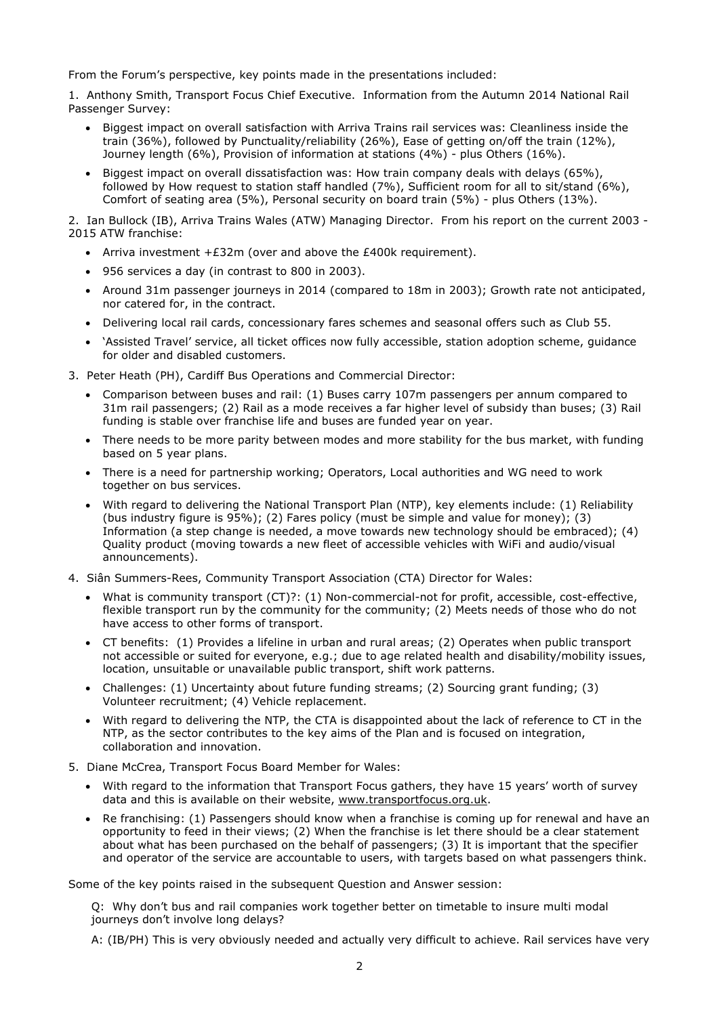From the Forum's perspective, key points made in the presentations included:

1. Anthony Smith, Transport Focus Chief Executive. Information from the Autumn 2014 National Rail Passenger Survey:

- Biggest impact on overall satisfaction with Arriva Trains rail services was: Cleanliness inside the train (36%), followed by Punctuality/reliability (26%), Ease of getting on/off the train (12%), Journey length (6%), Provision of information at stations (4%) - plus Others (16%).
- Biggest impact on overall dissatisfaction was: How train company deals with delays (65%), followed by How request to station staff handled (7%), Sufficient room for all to sit/stand (6%), Comfort of seating area (5%), Personal security on board train (5%) - plus Others (13%).

2. Ian Bullock (IB), Arriva Trains Wales (ATW) Managing Director. From his report on the current 2003 - 2015 ATW franchise:

- Arriva investment  $+E32m$  (over and above the £400k requirement).
- 956 services a day (in contrast to 800 in 2003).
- Around 31m passenger journeys in 2014 (compared to 18m in 2003); Growth rate not anticipated, nor catered for, in the contract.
- Delivering local rail cards, concessionary fares schemes and seasonal offers such as Club 55.
- 'Assisted Travel' service, all ticket offices now fully accessible, station adoption scheme, guidance for older and disabled customers.
- 3. Peter Heath (PH), Cardiff Bus Operations and Commercial Director:
	- Comparison between buses and rail: (1) Buses carry 107m passengers per annum compared to 31m rail passengers; (2) Rail as a mode receives a far higher level of subsidy than buses; (3) Rail funding is stable over franchise life and buses are funded year on year.
	- There needs to be more parity between modes and more stability for the bus market, with funding based on 5 year plans.
	- There is a need for partnership working; Operators, Local authorities and WG need to work together on bus services.
	- With regard to delivering the National Transport Plan (NTP), key elements include: (1) Reliability (bus industry figure is 95%); (2) Fares policy (must be simple and value for money); (3) Information (a step change is needed, a move towards new technology should be embraced); (4) Quality product (moving towards a new fleet of accessible vehicles with WiFi and audio/visual announcements).
- 4. Siân Summers-Rees, Community Transport Association (CTA) Director for Wales:
	- What is community transport (CT)?: (1) Non-commercial-not for profit, accessible, cost-effective, flexible transport run by the community for the community; (2) Meets needs of those who do not have access to other forms of transport.
	- CT benefits: (1) Provides a lifeline in urban and rural areas; (2) Operates when public transport not accessible or suited for everyone, e.g.; due to age related health and disability/mobility issues, location, unsuitable or unavailable public transport, shift work patterns.
	- Challenges: (1) Uncertainty about future funding streams; (2) Sourcing grant funding; (3) Volunteer recruitment; (4) Vehicle replacement.
	- With regard to delivering the NTP, the CTA is disappointed about the lack of reference to CT in the NTP, as the sector contributes to the key aims of the Plan and is focused on integration, collaboration and innovation.
- 5. Diane McCrea, Transport Focus Board Member for Wales:
	- With regard to the information that Transport Focus gathers, they have 15 years' worth of survey data and this is available on their website, www.transportfocus.org.uk.
	- Re franchising: (1) Passengers should know when a franchise is coming up for renewal and have an opportunity to feed in their views; (2) When the franchise is let there should be a clear statement about what has been purchased on the behalf of passengers; (3) It is important that the specifier and operator of the service are accountable to users, with targets based on what passengers think.

Some of the key points raised in the subsequent Question and Answer session:

Q: Why don't bus and rail companies work together better on timetable to insure multi modal journeys don't involve long delays?

A: (IB/PH) This is very obviously needed and actually very difficult to achieve. Rail services have very